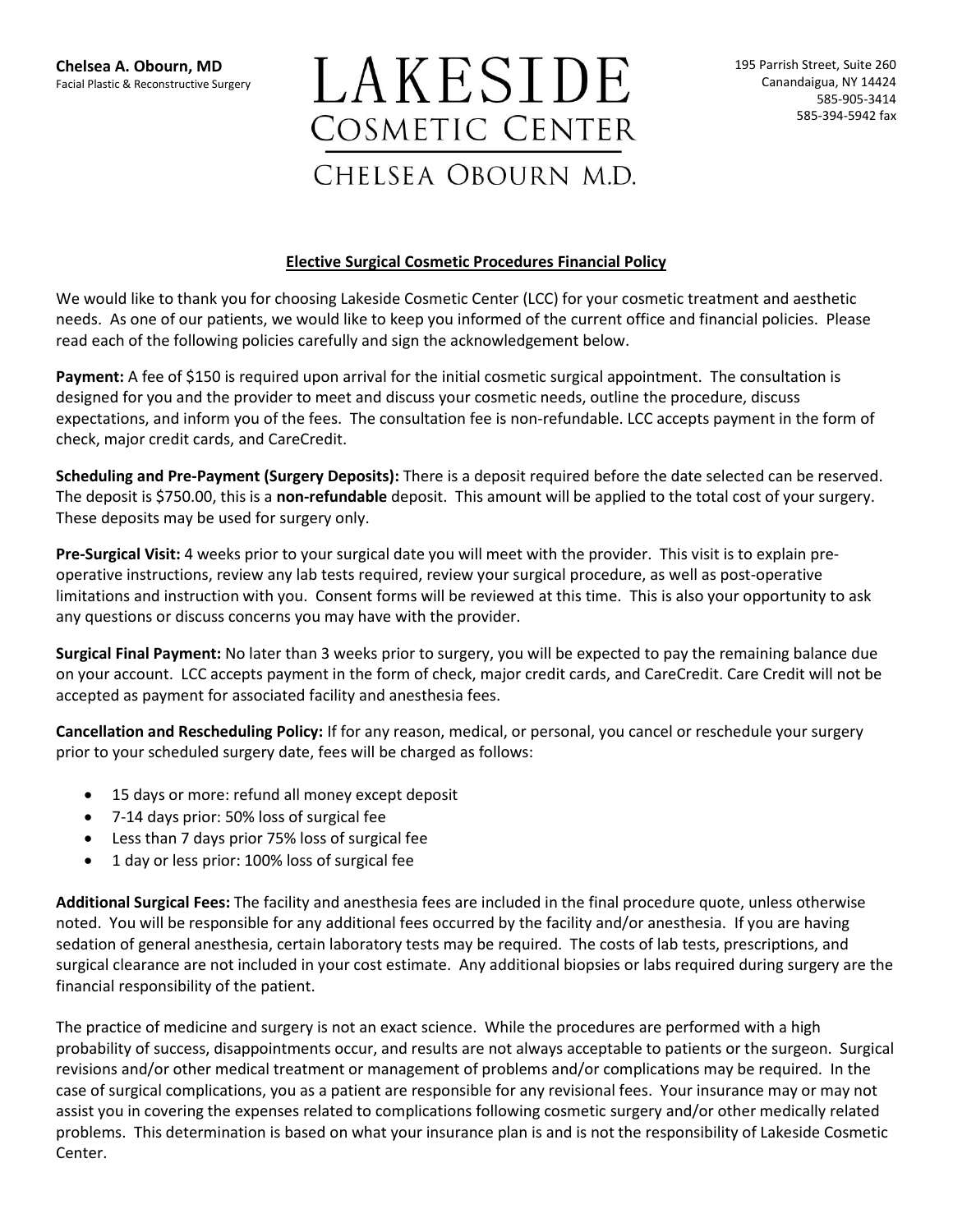## LAKESIDE **COSMETIC CENTER** CHELSEA OBOURN M.D.

## **Elective Surgical Cosmetic Procedures Financial Policy**

We would like to thank you for choosing Lakeside Cosmetic Center (LCC) for your cosmetic treatment and aesthetic needs. As one of our patients, we would like to keep you informed of the current office and financial policies. Please read each of the following policies carefully and sign the acknowledgement below.

**Payment:** A fee of \$150 is required upon arrival for the initial cosmetic surgical appointment. The consultation is designed for you and the provider to meet and discuss your cosmetic needs, outline the procedure, discuss expectations, and inform you of the fees. The consultation fee is non-refundable. LCC accepts payment in the form of check, major credit cards, and CareCredit.

**Scheduling and Pre-Payment (Surgery Deposits):** There is a deposit required before the date selected can be reserved. The deposit is \$750.00, this is a **non-refundable** deposit. This amount will be applied to the total cost of your surgery. These deposits may be used for surgery only.

**Pre-Surgical Visit:** 4 weeks prior to your surgical date you will meet with the provider. This visit is to explain preoperative instructions, review any lab tests required, review your surgical procedure, as well as post-operative limitations and instruction with you. Consent forms will be reviewed at this time. This is also your opportunity to ask any questions or discuss concerns you may have with the provider.

**Surgical Final Payment:** No later than 3 weeks prior to surgery, you will be expected to pay the remaining balance due on your account. LCC accepts payment in the form of check, major credit cards, and CareCredit. Care Credit will not be accepted as payment for associated facility and anesthesia fees.

**Cancellation and Rescheduling Policy:** If for any reason, medical, or personal, you cancel or reschedule your surgery prior to your scheduled surgery date, fees will be charged as follows:

- 15 days or more: refund all money except deposit
- 7-14 days prior: 50% loss of surgical fee
- Less than 7 days prior 75% loss of surgical fee
- 1 day or less prior: 100% loss of surgical fee

**Additional Surgical Fees:** The facility and anesthesia fees are included in the final procedure quote, unless otherwise noted. You will be responsible for any additional fees occurred by the facility and/or anesthesia. If you are having sedation of general anesthesia, certain laboratory tests may be required. The costs of lab tests, prescriptions, and surgical clearance are not included in your cost estimate. Any additional biopsies or labs required during surgery are the financial responsibility of the patient.

The practice of medicine and surgery is not an exact science. While the procedures are performed with a high probability of success, disappointments occur, and results are not always acceptable to patients or the surgeon. Surgical revisions and/or other medical treatment or management of problems and/or complications may be required. In the case of surgical complications, you as a patient are responsible for any revisional fees. Your insurance may or may not assist you in covering the expenses related to complications following cosmetic surgery and/or other medically related problems. This determination is based on what your insurance plan is and is not the responsibility of Lakeside Cosmetic Center.